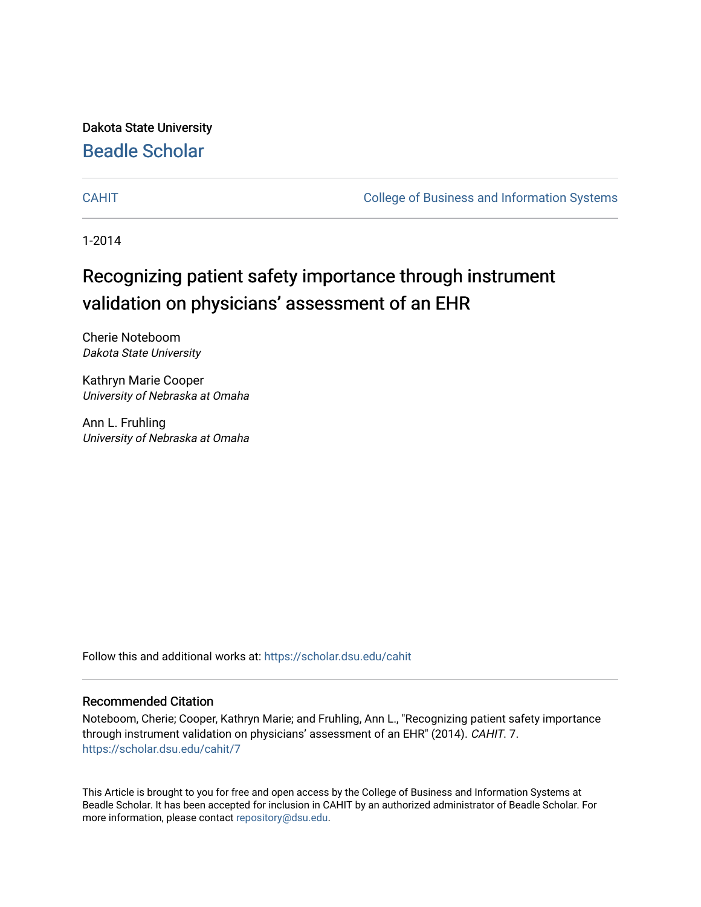Dakota State University [Beadle Scholar](https://scholar.dsu.edu/)

[CAHIT](https://scholar.dsu.edu/cahit) [College of Business and Information Systems](https://scholar.dsu.edu/biscollege) 

1-2014

# Recognizing patient safety importance through instrument validation on physicians' assessment of an EHR

Cherie Noteboom Dakota State University

Kathryn Marie Cooper University of Nebraska at Omaha

Ann L. Fruhling University of Nebraska at Omaha

Follow this and additional works at: [https://scholar.dsu.edu/cahit](https://scholar.dsu.edu/cahit?utm_source=scholar.dsu.edu%2Fcahit%2F7&utm_medium=PDF&utm_campaign=PDFCoverPages) 

# Recommended Citation

Noteboom, Cherie; Cooper, Kathryn Marie; and Fruhling, Ann L., "Recognizing patient safety importance through instrument validation on physicians' assessment of an EHR" (2014). CAHIT. 7. [https://scholar.dsu.edu/cahit/7](https://scholar.dsu.edu/cahit/7?utm_source=scholar.dsu.edu%2Fcahit%2F7&utm_medium=PDF&utm_campaign=PDFCoverPages)

This Article is brought to you for free and open access by the College of Business and Information Systems at Beadle Scholar. It has been accepted for inclusion in CAHIT by an authorized administrator of Beadle Scholar. For more information, please contact [repository@dsu.edu.](mailto:repository@dsu.edu)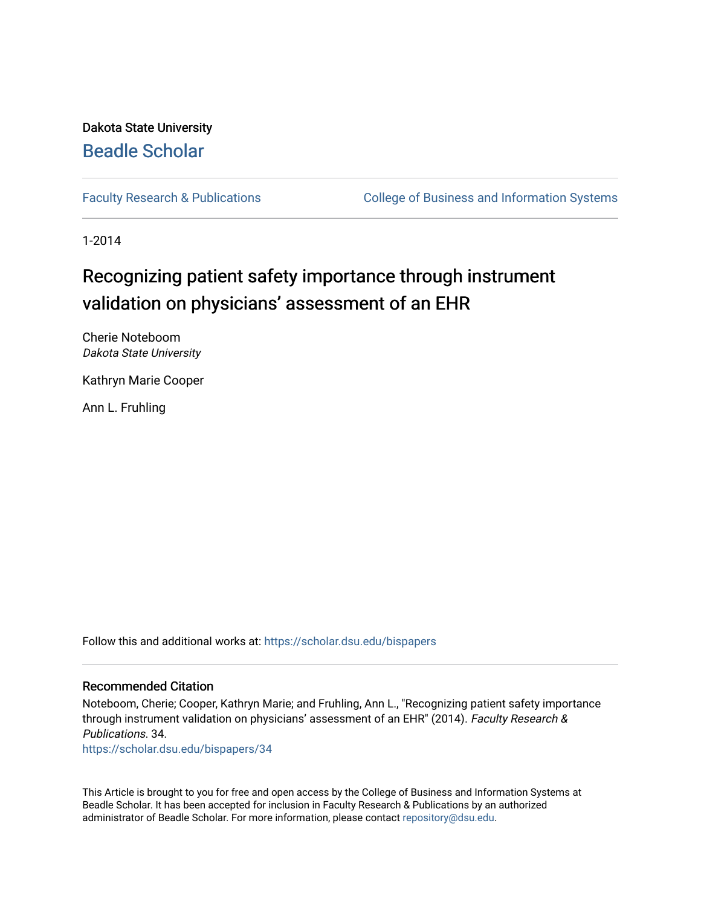Dakota State University [Beadle Scholar](https://scholar.dsu.edu/)

[Faculty Research & Publications](https://scholar.dsu.edu/bispapers) **College of Business and Information Systems** 

1-2014

# Recognizing patient safety importance through instrument validation on physicians' assessment of an EHR

Cherie Noteboom Dakota State University

Kathryn Marie Cooper

Ann L. Fruhling

Follow this and additional works at: [https://scholar.dsu.edu/bispapers](https://scholar.dsu.edu/bispapers?utm_source=scholar.dsu.edu%2Fbispapers%2F34&utm_medium=PDF&utm_campaign=PDFCoverPages)

### Recommended Citation

Noteboom, Cherie; Cooper, Kathryn Marie; and Fruhling, Ann L., "Recognizing patient safety importance through instrument validation on physicians' assessment of an EHR" (2014). Faculty Research & Publications. 34.

[https://scholar.dsu.edu/bispapers/34](https://scholar.dsu.edu/bispapers/34?utm_source=scholar.dsu.edu%2Fbispapers%2F34&utm_medium=PDF&utm_campaign=PDFCoverPages) 

This Article is brought to you for free and open access by the College of Business and Information Systems at Beadle Scholar. It has been accepted for inclusion in Faculty Research & Publications by an authorized administrator of Beadle Scholar. For more information, please contact [repository@dsu.edu.](mailto:repository@dsu.edu)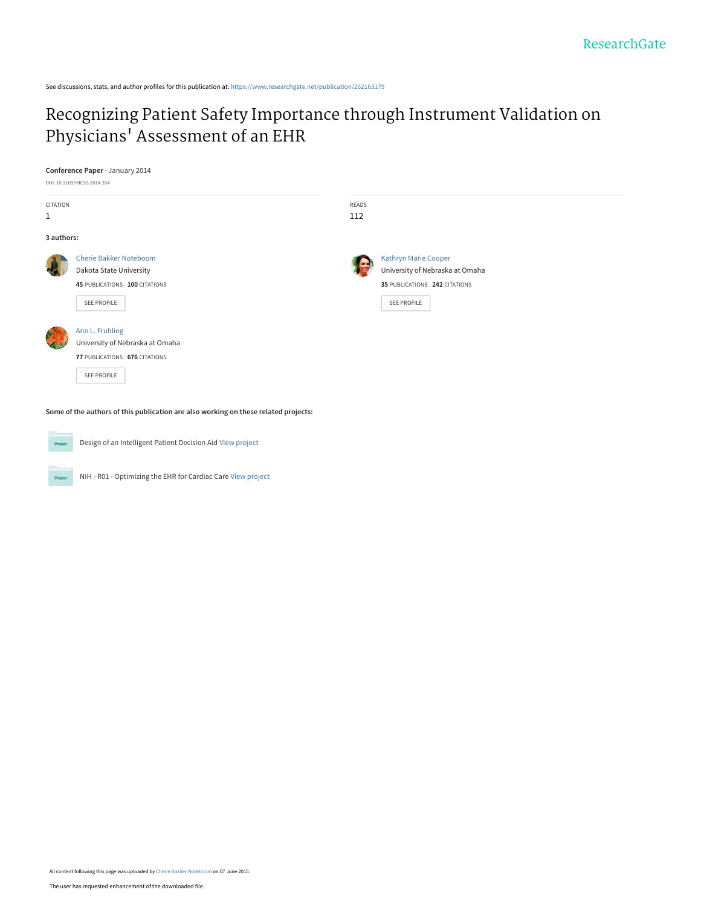See discussions, stats, and author profiles for this publication at: [https://www.researchgate.net/publication/262163179](https://www.researchgate.net/publication/262163179_Recognizing_Patient_Safety_Importance_through_Instrument_Validation_on_Physicians%27_Assessment_of_an_EHR?enrichId=rgreq-a019ba76fa46aee5611f61cf1664d4ea-XXX&enrichSource=Y292ZXJQYWdlOzI2MjE2MzE3OTtBUzoyMzc3OTAwODg2NTg5NDRAMTQzMzcwNDk4MzE1MQ%3D%3D&el=1_x_2&_esc=publicationCoverPdf)

# [Recognizing Patient Safety Importance through Instrument Validation on](https://www.researchgate.net/publication/262163179_Recognizing_Patient_Safety_Importance_through_Instrument_Validation_on_Physicians%27_Assessment_of_an_EHR?enrichId=rgreq-a019ba76fa46aee5611f61cf1664d4ea-XXX&enrichSource=Y292ZXJQYWdlOzI2MjE2MzE3OTtBUzoyMzc3OTAwODg2NTg5NDRAMTQzMzcwNDk4MzE1MQ%3D%3D&el=1_x_3&_esc=publicationCoverPdf) Physicians' Assessment of an EHR

|              | Conference Paper · January 2014 |       |                                 |  |
|--------------|---------------------------------|-------|---------------------------------|--|
|              | DOI: 10.1109/HICSS.2014.354     |       |                                 |  |
| CITATION     |                                 | READS |                                 |  |
| $\mathbf{1}$ |                                 | 112   |                                 |  |
| 3 authors:   |                                 |       |                                 |  |
|              | <b>Cherie Bakker Noteboom</b>   |       | Kathryn Marie Cooper            |  |
|              | Dakota State University         |       | University of Nebraska at Omaha |  |
|              | 45 PUBLICATIONS 100 CITATIONS   |       | 35 PUBLICATIONS 242 CITATIONS   |  |
|              | SEE PROFILE                     |       | SEE PROFILE                     |  |
|              | Ann L. Fruhling                 |       |                                 |  |
|              | University of Nebraska at Omaha |       |                                 |  |
|              | 77 PUBLICATIONS 676 CITATIONS   |       |                                 |  |
|              | SEE PROFILE                     |       |                                 |  |
|              |                                 |       |                                 |  |
|              |                                 |       |                                 |  |

**Some of the authors of this publication are also working on these related projects:**



Project

Design of an Intelligent Patient Decision Aid [View project](https://www.researchgate.net/project/Design-of-an-Intelligent-Patient-Decision-Aid?enrichId=rgreq-a019ba76fa46aee5611f61cf1664d4ea-XXX&enrichSource=Y292ZXJQYWdlOzI2MjE2MzE3OTtBUzoyMzc3OTAwODg2NTg5NDRAMTQzMzcwNDk4MzE1MQ%3D%3D&el=1_x_9&_esc=publicationCoverPdf)

NIH - R01 - Optimizing the EHR for Cardiac Care [View project](https://www.researchgate.net/project/NIH-R01-Optimizing-the-EHR-for-Cardiac-Care?enrichId=rgreq-a019ba76fa46aee5611f61cf1664d4ea-XXX&enrichSource=Y292ZXJQYWdlOzI2MjE2MzE3OTtBUzoyMzc3OTAwODg2NTg5NDRAMTQzMzcwNDk4MzE1MQ%3D%3D&el=1_x_9&_esc=publicationCoverPdf)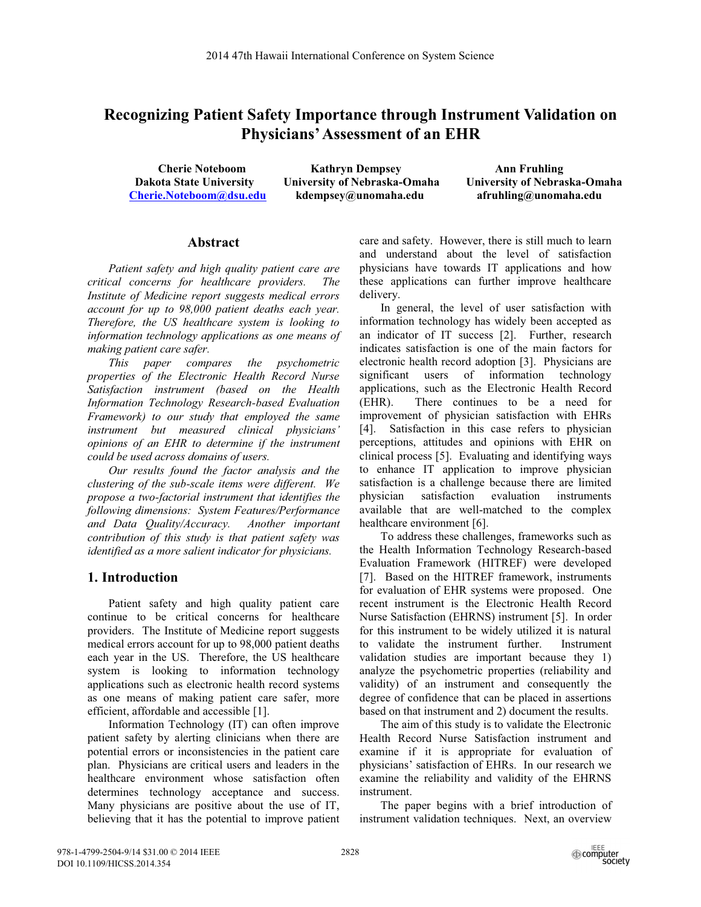# **Recognizing Patient Safety Importance through Instrument Validation on Physicians' Assessment of an EHR**

**Cherie Noteboom Kathryn Dempsey Ann Fruhling<br>
Dakota State University University of Nebraska-Omaha University of Nebra Cherie.Noteboom@dsu.edu kdempsey@unomaha.edu afruhling@unomaha.edu** 

**University of Nebraska-Omaha** 

#### **Abstract**

*Patient safety and high quality patient care are critical concerns for healthcare providers. The Institute of Medicine report suggests medical errors account for up to 98,000 patient deaths each year. Therefore, the US healthcare system is looking to information technology applications as one means of making patient care safer.* 

*This paper compares the psychometric properties of the Electronic Health Record Nurse Satisfaction instrument (based on the Health Information Technology Research-based Evaluation Framework) to our study that employed the same instrument but measured clinical physicians' opinions of an EHR to determine if the instrument could be used across domains of users.* 

*Our results found the factor analysis and the clustering of the sub-scale items were different. We propose a two-factorial instrument that identifies the following dimensions: System Features/Performance and Data Quality/Accuracy. Another important contribution of this study is that patient safety was identified as a more salient indicator for physicians.* 

#### **1. Introduction**

Patient safety and high quality patient care continue to be critical concerns for healthcare providers. The Institute of Medicine report suggests medical errors account for up to 98,000 patient deaths each year in the US. Therefore, the US healthcare system is looking to information technology applications such as electronic health record systems as one means of making patient care safer, more efficient, affordable and accessible [1].

Information Technology (IT) can often improve patient safety by alerting clinicians when there are potential errors or inconsistencies in the patient care plan. Physicians are critical users and leaders in the healthcare environment whose satisfaction often determines technology acceptance and success. Many physicians are positive about the use of IT, believing that it has the potential to improve patient care and safety. However, there is still much to learn and understand about the level of satisfaction physicians have towards IT applications and how these applications can further improve healthcare delivery.

In general, the level of user satisfaction with information technology has widely been accepted as an indicator of IT success [2]. Further, research indicates satisfaction is one of the main factors for electronic health record adoption [3]. Physicians are significant users of information technology applications, such as the Electronic Health Record (EHR). There continues to be a need for improvement of physician satisfaction with EHRs [4]. Satisfaction in this case refers to physician perceptions, attitudes and opinions with EHR on clinical process [5]. Evaluating and identifying ways to enhance IT application to improve physician satisfaction is a challenge because there are limited physician satisfaction evaluation instruments available that are well-matched to the complex healthcare environment [6].

To address these challenges, frameworks such as the Health Information Technology Research-based Evaluation Framework (HITREF) were developed [7]. Based on the HITREF framework, instruments for evaluation of EHR systems were proposed. One recent instrument is the Electronic Health Record Nurse Satisfaction (EHRNS) instrument [5]. In order for this instrument to be widely utilized it is natural to validate the instrument further. Instrument validation studies are important because they 1) analyze the psychometric properties (reliability and validity) of an instrument and consequently the degree of confidence that can be placed in assertions based on that instrument and 2) document the results.

The aim of this study is to validate the Electronic Health Record Nurse Satisfaction instrument and examine if it is appropriate for evaluation of physicians' satisfaction of EHRs. In our research we examine the reliability and validity of the EHRNS instrument.

The paper begins with a brief introduction of instrument validation techniques. Next, an overview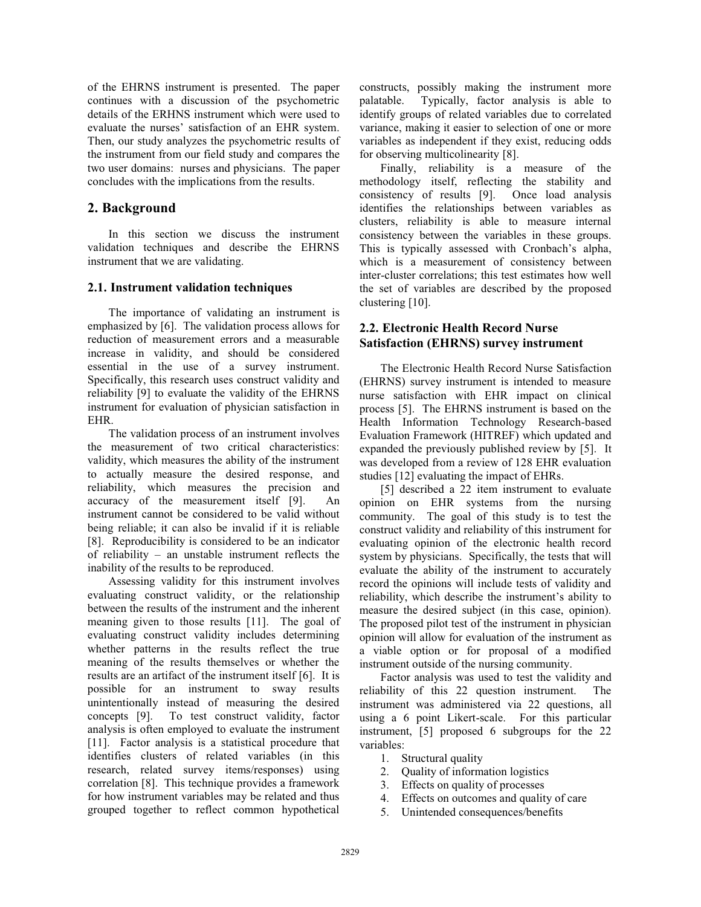of the EHRNS instrument is presented. The paper continues with a discussion of the psychometric details of the ERHNS instrument which were used to evaluate the nurses' satisfaction of an EHR system. Then, our study analyzes the psychometric results of the instrument from our field study and compares the two user domains: nurses and physicians. The paper concludes with the implications from the results.

# **2. Background**

In this section we discuss the instrument validation techniques and describe the EHRNS instrument that we are validating.

### **2.1. Instrument validation techniques**

The importance of validating an instrument is emphasized by [6]. The validation process allows for reduction of measurement errors and a measurable increase in validity, and should be considered essential in the use of a survey instrument. Specifically, this research uses construct validity and reliability [9] to evaluate the validity of the EHRNS instrument for evaluation of physician satisfaction in EHR.

The validation process of an instrument involves the measurement of two critical characteristics: validity, which measures the ability of the instrument to actually measure the desired response, and reliability, which measures the precision and accuracy of the measurement itself [9]. An instrument cannot be considered to be valid without being reliable; it can also be invalid if it is reliable [8]. Reproducibility is considered to be an indicator of reliability – an unstable instrument reflects the inability of the results to be reproduced.

Assessing validity for this instrument involves evaluating construct validity, or the relationship between the results of the instrument and the inherent meaning given to those results [11]. The goal of evaluating construct validity includes determining whether patterns in the results reflect the true meaning of the results themselves or whether the results are an artifact of the instrument itself [6]. It is possible for an instrument to sway results unintentionally instead of measuring the desired concepts [9]. To test construct validity, factor analysis is often employed to evaluate the instrument [11]. Factor analysis is a statistical procedure that identifies clusters of related variables (in this research, related survey items/responses) using correlation [8]. This technique provides a framework for how instrument variables may be related and thus grouped together to reflect common hypothetical

constructs, possibly making the instrument more palatable. Typically, factor analysis is able to identify groups of related variables due to correlated variance, making it easier to selection of one or more variables as independent if they exist, reducing odds for observing multicolinearity [8].

Finally, reliability is a measure of the methodology itself, reflecting the stability and consistency of results [9]. Once load analysis identifies the relationships between variables as clusters, reliability is able to measure internal consistency between the variables in these groups. This is typically assessed with Cronbach's alpha, which is a measurement of consistency between inter-cluster correlations; this test estimates how well the set of variables are described by the proposed clustering [10].

# **2.2. Electronic Health Record Nurse Satisfaction (EHRNS) survey instrument**

The Electronic Health Record Nurse Satisfaction (EHRNS) survey instrument is intended to measure nurse satisfaction with EHR impact on clinical process [5]. The EHRNS instrument is based on the Health Information Technology Research-based Evaluation Framework (HITREF) which updated and expanded the previously published review by [5]. It was developed from a review of 128 EHR evaluation studies [12] evaluating the impact of EHRs.

[5] described a 22 item instrument to evaluate opinion on EHR systems from the nursing community. The goal of this study is to test the construct validity and reliability of this instrument for evaluating opinion of the electronic health record system by physicians. Specifically, the tests that will evaluate the ability of the instrument to accurately record the opinions will include tests of validity and reliability, which describe the instrument's ability to measure the desired subject (in this case, opinion). The proposed pilot test of the instrument in physician opinion will allow for evaluation of the instrument as a viable option or for proposal of a modified instrument outside of the nursing community.

Factor analysis was used to test the validity and reliability of this 22 question instrument. The instrument was administered via 22 questions, all using a 6 point Likert-scale. For this particular instrument, [5] proposed 6 subgroups for the 22 variables:

- 1. Structural quality
- 2. Quality of information logistics
- 3. Effects on quality of processes
- 4. Effects on outcomes and quality of care
- 5. Unintended consequences/benefits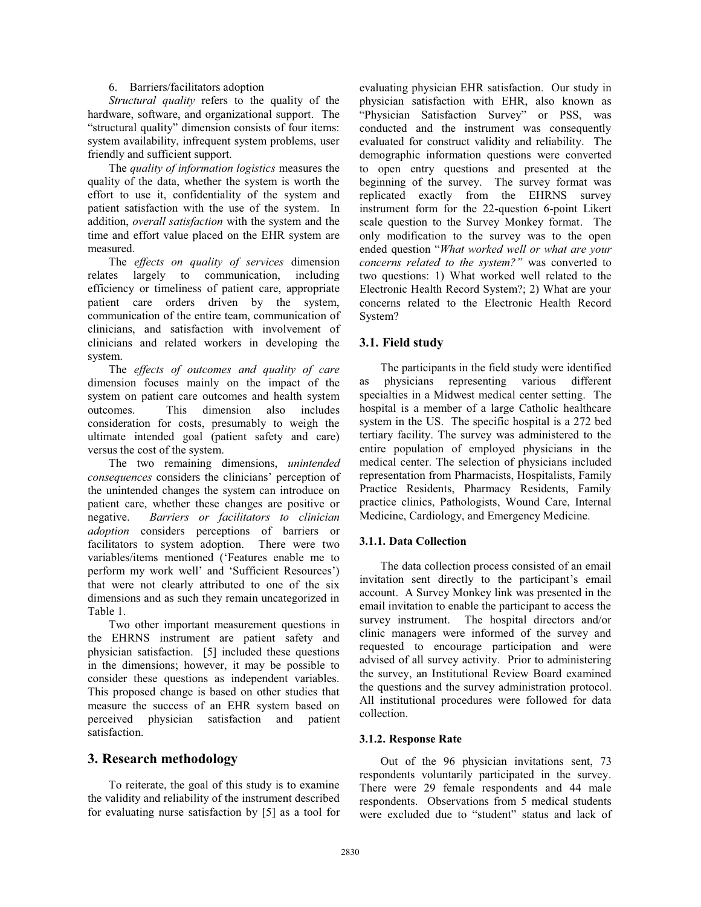#### 6. Barriers/facilitators adoption

*Structural quality* refers to the quality of the hardware, software, and organizational support. The "structural quality" dimension consists of four items: system availability, infrequent system problems, user friendly and sufficient support.

The *quality of information logistics* measures the quality of the data, whether the system is worth the effort to use it, confidentiality of the system and patient satisfaction with the use of the system. In addition, *overall satisfaction* with the system and the time and effort value placed on the EHR system are measured.

The *effects on quality of services* dimension relates largely to communication, including efficiency or timeliness of patient care, appropriate patient care orders driven by the system, communication of the entire team, communication of clinicians, and satisfaction with involvement of clinicians and related workers in developing the system.

The *effects of outcomes and quality of care* dimension focuses mainly on the impact of the system on patient care outcomes and health system outcomes. This dimension also includes consideration for costs, presumably to weigh the ultimate intended goal (patient safety and care) versus the cost of the system.

The two remaining dimensions, *unintended consequences* considers the clinicians' perception of the unintended changes the system can introduce on patient care, whether these changes are positive or negative. *Barriers or facilitators to clinician adoption* considers perceptions of barriers or facilitators to system adoption. There were two variables/items mentioned ('Features enable me to perform my work well' and 'Sufficient Resources') that were not clearly attributed to one of the six dimensions and as such they remain uncategorized in Table 1.

Two other important measurement questions in the EHRNS instrument are patient safety and physician satisfaction. [5] included these questions in the dimensions; however, it may be possible to consider these questions as independent variables. This proposed change is based on other studies that measure the success of an EHR system based on perceived physician satisfaction and patient satisfaction.

# **3. Research methodology**

To reiterate, the goal of this study is to examine the validity and reliability of the instrument described for evaluating nurse satisfaction by [5] as a tool for evaluating physician EHR satisfaction. Our study in physician satisfaction with EHR, also known as "Physician Satisfaction Survey" or PSS, was conducted and the instrument was consequently evaluated for construct validity and reliability. The demographic information questions were converted to open entry questions and presented at the beginning of the survey. The survey format was replicated exactly from the EHRNS survey instrument form for the 22-question 6-point Likert scale question to the Survey Monkey format. The only modification to the survey was to the open ended question "*What worked well or what are your concerns related to the system?"* was converted to two questions: 1) What worked well related to the Electronic Health Record System?; 2) What are your concerns related to the Electronic Health Record System?

#### **3.1. Field study**

The participants in the field study were identified as physicians representing various different specialties in a Midwest medical center setting. The hospital is a member of a large Catholic healthcare system in the US. The specific hospital is a 272 bed tertiary facility. The survey was administered to the entire population of employed physicians in the medical center. The selection of physicians included representation from Pharmacists, Hospitalists, Family Practice Residents, Pharmacy Residents, Family practice clinics, Pathologists, Wound Care, Internal Medicine, Cardiology, and Emergency Medicine.

#### **3.1.1. Data Collection**

The data collection process consisted of an email invitation sent directly to the participant's email account. A Survey Monkey link was presented in the email invitation to enable the participant to access the survey instrument. The hospital directors and/or clinic managers were informed of the survey and requested to encourage participation and were advised of all survey activity. Prior to administering the survey, an Institutional Review Board examined the questions and the survey administration protocol. All institutional procedures were followed for data collection.

#### **3.1.2. Response Rate**

Out of the 96 physician invitations sent, 73 respondents voluntarily participated in the survey. There were 29 female respondents and 44 male respondents. Observations from 5 medical students were excluded due to "student" status and lack of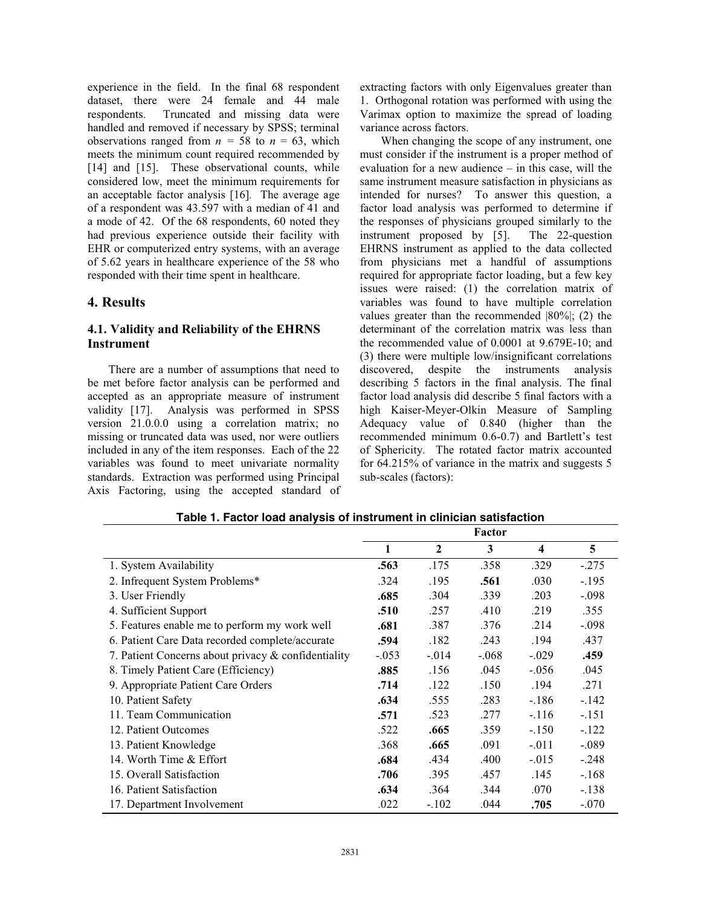experience in the field. In the final 68 respondent dataset, there were 24 female and 44 male respondents. Truncated and missing data were handled and removed if necessary by SPSS; terminal observations ranged from  $n = 58$  to  $n = 63$ , which meets the minimum count required recommended by [14] and [15]. These observational counts, while considered low, meet the minimum requirements for an acceptable factor analysis [16]*.* The average age of a respondent was 43.597 with a median of 41 and a mode of 42. Of the 68 respondents, 60 noted they had previous experience outside their facility with EHR or computerized entry systems, with an average of 5.62 years in healthcare experience of the 58 who responded with their time spent in healthcare.

### **4. Results**

## **4.1. Validity and Reliability of the EHRNS Instrument**

There are a number of assumptions that need to be met before factor analysis can be performed and accepted as an appropriate measure of instrument validity [17]. Analysis was performed in SPSS version 21.0.0.0 using a correlation matrix; no missing or truncated data was used, nor were outliers included in any of the item responses. Each of the 22 variables was found to meet univariate normality standards. Extraction was performed using Principal Axis Factoring, using the accepted standard of extracting factors with only Eigenvalues greater than 1. Orthogonal rotation was performed with using the Varimax option to maximize the spread of loading variance across factors.

When changing the scope of any instrument, one must consider if the instrument is a proper method of evaluation for a new audience – in this case, will the same instrument measure satisfaction in physicians as intended for nurses? To answer this question, a factor load analysis was performed to determine if the responses of physicians grouped similarly to the instrument proposed by [5]. The 22-question EHRNS instrument as applied to the data collected from physicians met a handful of assumptions required for appropriate factor loading, but a few key issues were raised: (1) the correlation matrix of variables was found to have multiple correlation values greater than the recommended |80%|; (2) the determinant of the correlation matrix was less than the recommended value of 0.0001 at 9.679E-10; and (3) there were multiple low/insignificant correlations discovered, despite the instruments analysis describing 5 factors in the final analysis. The final factor load analysis did describe 5 final factors with a high Kaiser-Meyer-Olkin Measure of Sampling Adequacy value of 0.840 (higher than the recommended minimum 0.6-0.7) and Bartlett's test of Sphericity. The rotated factor matrix accounted for 64.215% of variance in the matrix and suggests 5 sub-scales (factors):

|                                                     |         |                | Factor  |                         |         |
|-----------------------------------------------------|---------|----------------|---------|-------------------------|---------|
|                                                     | 1       | $\overline{2}$ | 3       | $\overline{\mathbf{4}}$ | 5       |
| 1. System Availability                              | .563    | .175           | .358    | .329                    | $-.275$ |
| 2. Infrequent System Problems*                      | .324    | .195           | .561    | .030                    | $-.195$ |
| 3. User Friendly                                    | .685    | .304           | .339    | .203                    | $-.098$ |
| 4. Sufficient Support                               | .510    | .257           | .410    | .219                    | .355    |
| 5. Features enable me to perform my work well       | .681    | .387           | .376    | .214                    | $-.098$ |
| 6. Patient Care Data recorded complete/accurate     | .594    | .182           | .243    | .194                    | .437    |
| 7. Patient Concerns about privacy & confidentiality | $-.053$ | $-0.014$       | $-.068$ | $-.029$                 | .459    |
| 8. Timely Patient Care (Efficiency)                 | .885    | .156           | .045    | $-.056$                 | .045    |
| 9. Appropriate Patient Care Orders                  | .714    | .122           | .150    | .194                    | .271    |
| 10. Patient Safety                                  | .634    | .555           | .283    | $-.186$                 | $-142$  |
| 11. Team Communication                              | .571    | .523           | .277    | $-.116$                 | $-.151$ |
| 12. Patient Outcomes                                | .522    | .665           | .359    | $-.150$                 | $-122$  |
| 13. Patient Knowledge                               | .368    | .665           | .091    | $-.011$                 | $-.089$ |
| 14. Worth Time & Effort                             | .684    | .434           | .400    | $-.015$                 | $-.248$ |
| 15. Overall Satisfaction                            | .706    | .395           | .457    | .145                    | $-.168$ |
| 16. Patient Satisfaction                            | .634    | .364           | .344    | .070                    | $-.138$ |
| 17. Department Involvement                          | .022    | $-.102$        | .044    | .705                    | $-.070$ |

**Table 1. Factor load analysis of instrument in clinician satisfaction**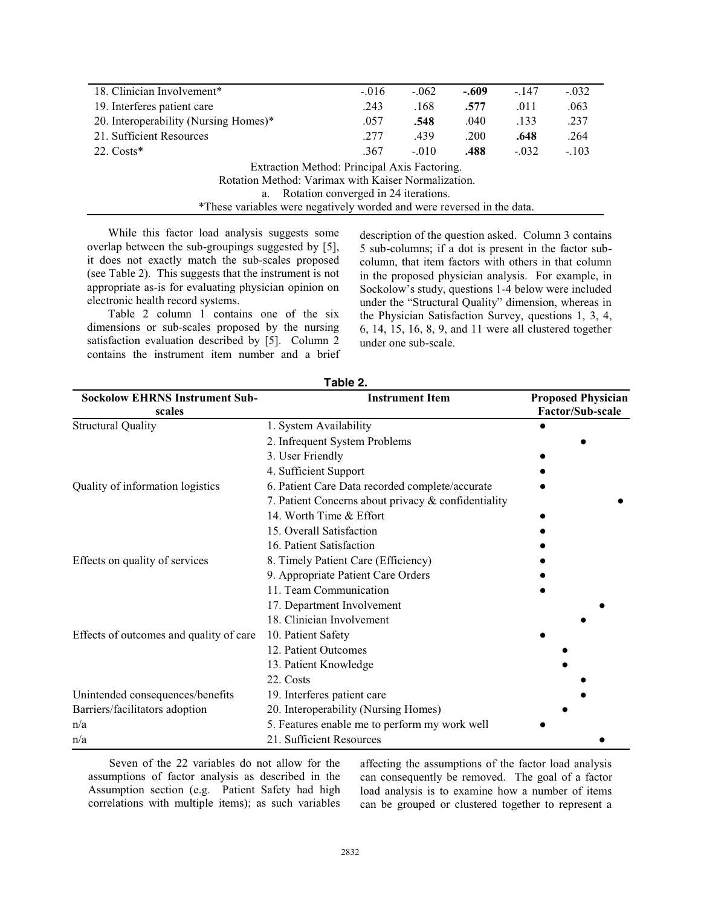| 18. Clinician Involvement <sup>*</sup>                                 | $-.016$ | $-.062$ | $-.609$ | $-.147$ | $-.032$ |  |  |
|------------------------------------------------------------------------|---------|---------|---------|---------|---------|--|--|
| 19. Interferes patient care                                            | .243    | .168    | .577    | .011    | .063    |  |  |
| 20. Interoperability (Nursing Homes)*                                  | .057    | .548    | .040    | .133    | .237    |  |  |
| 21. Sufficient Resources                                               | .277    | .439    | .200    | .648    | .264    |  |  |
| 22. $Costs*$                                                           | .367    | $-.010$ | .488    | $-.032$ | $-.103$ |  |  |
| Extraction Method: Principal Axis Factoring.                           |         |         |         |         |         |  |  |
| Rotation Method: Varimax with Kaiser Normalization.                    |         |         |         |         |         |  |  |
| a. Rotation converged in 24 iterations.                                |         |         |         |         |         |  |  |
| *These variables were negatively worded and were reversed in the data. |         |         |         |         |         |  |  |

While this factor load analysis suggests some overlap between the sub-groupings suggested by [5], it does not exactly match the sub-scales proposed (see Table 2). This suggests that the instrument is not appropriate as-is for evaluating physician opinion on electronic health record systems.

Table 2 column 1 contains one of the six dimensions or sub-scales proposed by the nursing satisfaction evaluation described by [5]. Column 2 contains the instrument item number and a brief description of the question asked. Column 3 contains 5 sub-columns; if a dot is present in the factor subcolumn, that item factors with others in that column in the proposed physician analysis. For example, in Sockolow's study, questions 1-4 below were included under the "Structural Quality" dimension, whereas in the Physician Satisfaction Survey, questions 1, 3, 4, 6, 14, 15, 16, 8, 9, and 11 were all clustered together under one sub-scale.

| <b>Sockolow EHRNS Instrument Sub-</b><br>scales | <b>Instrument Item</b>                              | <b>Proposed Physician</b><br>Factor/Sub-scale |  |
|-------------------------------------------------|-----------------------------------------------------|-----------------------------------------------|--|
| <b>Structural Quality</b>                       | 1. System Availability                              |                                               |  |
|                                                 | 2. Infrequent System Problems                       |                                               |  |
|                                                 | 3. User Friendly                                    |                                               |  |
|                                                 | 4. Sufficient Support                               |                                               |  |
| Quality of information logistics                | 6. Patient Care Data recorded complete/accurate     |                                               |  |
|                                                 | 7. Patient Concerns about privacy & confidentiality |                                               |  |
|                                                 | 14. Worth Time & Effort                             |                                               |  |
|                                                 | 15. Overall Satisfaction                            |                                               |  |
|                                                 | 16. Patient Satisfaction                            |                                               |  |
| Effects on quality of services                  | 8. Timely Patient Care (Efficiency)                 |                                               |  |
|                                                 | 9. Appropriate Patient Care Orders                  |                                               |  |
|                                                 | 11. Team Communication                              |                                               |  |
|                                                 | 17. Department Involvement                          |                                               |  |
|                                                 | 18. Clinician Involvement                           |                                               |  |
| Effects of outcomes and quality of care         | 10. Patient Safety                                  |                                               |  |
|                                                 | 12. Patient Outcomes                                |                                               |  |
|                                                 | 13. Patient Knowledge                               |                                               |  |
|                                                 | 22. Costs                                           |                                               |  |
| Unintended consequences/benefits                | 19. Interferes patient care                         |                                               |  |
| Barriers/facilitators adoption                  | 20. Interoperability (Nursing Homes)                |                                               |  |
| n/a                                             | 5. Features enable me to perform my work well       |                                               |  |
| n/a                                             | 21. Sufficient Resources                            |                                               |  |

**Table 2.** 

Seven of the 22 variables do not allow for the assumptions of factor analysis as described in the Assumption section (e.g. Patient Safety had high correlations with multiple items); as such variables

affecting the assumptions of the factor load analysis can consequently be removed. The goal of a factor load analysis is to examine how a number of items can be grouped or clustered together to represent a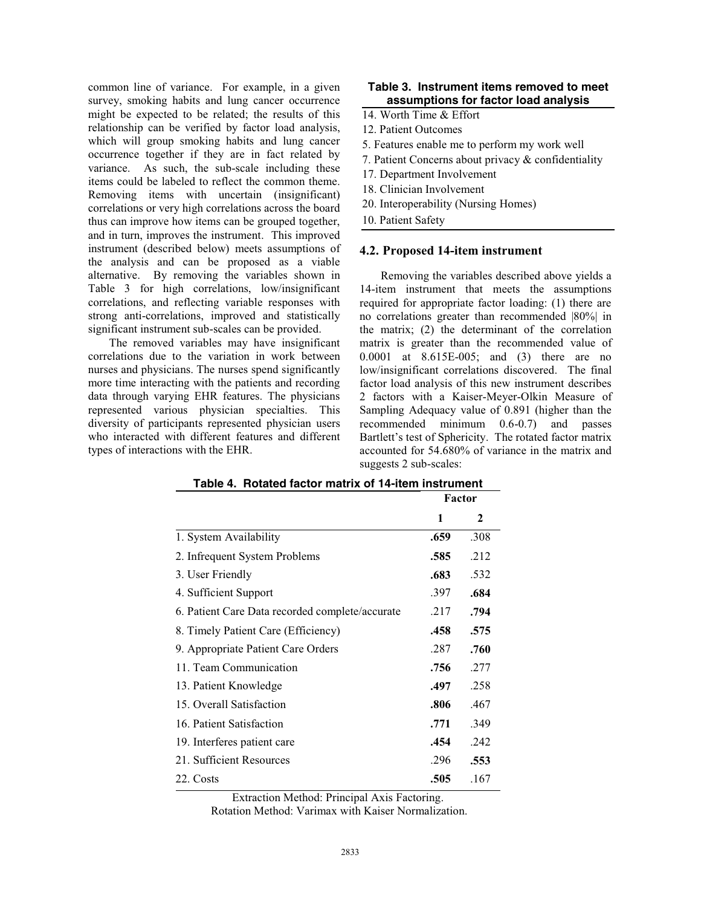common line of variance. For example, in a given survey, smoking habits and lung cancer occurrence might be expected to be related; the results of this relationship can be verified by factor load analysis, which will group smoking habits and lung cancer occurrence together if they are in fact related by variance. As such, the sub-scale including these items could be labeled to reflect the common theme. Removing items with uncertain (insignificant) correlations or very high correlations across the board thus can improve how items can be grouped together, and in turn, improves the instrument. This improved instrument (described below) meets assumptions of the analysis and can be proposed as a viable alternative. By removing the variables shown in Table 3 for high correlations, low/insignificant correlations, and reflecting variable responses with strong anti-correlations, improved and statistically significant instrument sub-scales can be provided.

The removed variables may have insignificant correlations due to the variation in work between nurses and physicians. The nurses spend significantly more time interacting with the patients and recording data through varying EHR features. The physicians represented various physician specialties. This diversity of participants represented physician users who interacted with different features and different types of interactions with the EHR.

#### **Table 3. Instrument items removed to meet assumptions for factor load analysis**

- 14. Worth Time & Effort
- 12. Patient Outcomes
- 5. Features enable me to perform my work well
- 7. Patient Concerns about privacy & confidentiality
- 17. Department Involvement
- 18. Clinician Involvement
- 20. Interoperability (Nursing Homes)
- 10. Patient Safety

#### **4.2. Proposed 14-item instrument**

Removing the variables described above yields a 14-item instrument that meets the assumptions required for appropriate factor loading: (1) there are no correlations greater than recommended |80%| in the matrix; (2) the determinant of the correlation matrix is greater than the recommended value of 0.0001 at 8.615E-005; and (3) there are no low/insignificant correlations discovered. The final factor load analysis of this new instrument describes 2 factors with a Kaiser-Meyer-Olkin Measure of Sampling Adequacy value of 0.891 (higher than the recommended minimum 0.6-0.7) and passes Bartlett's test of Sphericity. The rotated factor matrix accounted for 54.680% of variance in the matrix and suggests 2 sub-scales:

|                                                 | Factor |      |
|-------------------------------------------------|--------|------|
|                                                 | 1      | 2    |
| 1. System Availability                          | .659   | .308 |
| 2. Infrequent System Problems                   | .585   | .212 |
| 3. User Friendly                                | .683   | .532 |
| 4. Sufficient Support                           | .397   | .684 |
| 6. Patient Care Data recorded complete/accurate | .217   | .794 |
| 8. Timely Patient Care (Efficiency)             | .458   | .575 |
| 9. Appropriate Patient Care Orders              | .287   | .760 |
| 11. Team Communication                          | .756   | .277 |
| 13. Patient Knowledge                           | .497   | .258 |
| 15. Overall Satisfaction                        | .806   | .467 |
| 16. Patient Satisfaction                        | .771   | .349 |
| 19. Interferes patient care                     | .454   | .242 |
| 21. Sufficient Resources                        | .296   | .553 |
| 22. Costs                                       | .505   | .167 |

**Table 4. Rotated factor matrix of 14-item instrument** 

Extraction Method: Principal Axis Factoring.

Rotation Method: Varimax with Kaiser Normalization.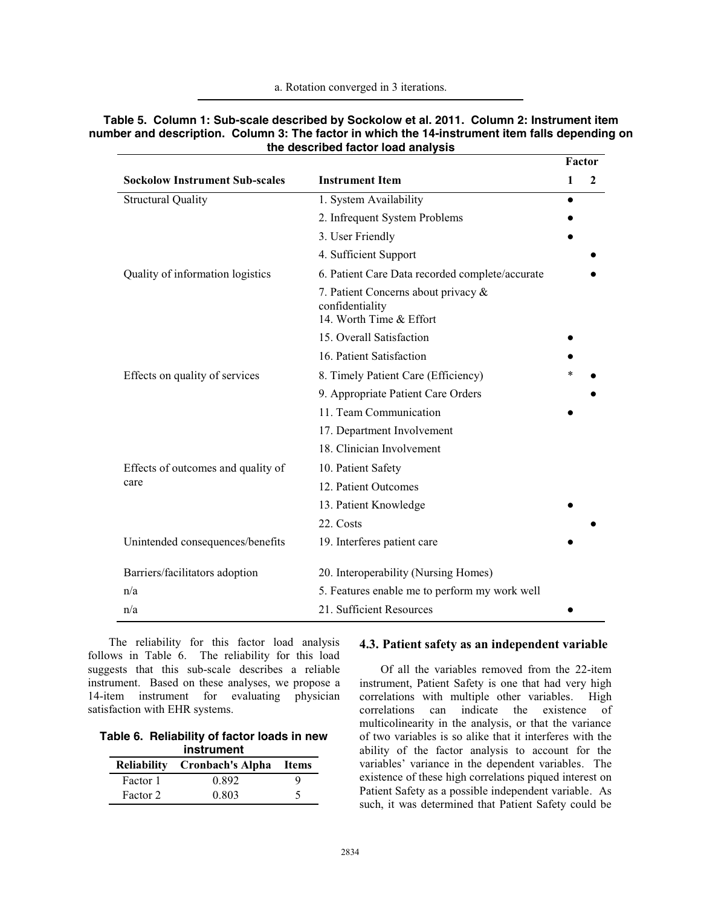a. Rotation converged in 3 iterations.

|                                       |                                                                                   |           | Factor |  |
|---------------------------------------|-----------------------------------------------------------------------------------|-----------|--------|--|
| <b>Sockolow Instrument Sub-scales</b> | <b>Instrument Item</b>                                                            | 1         | 2      |  |
| <b>Structural Quality</b>             | 1. System Availability                                                            | $\bullet$ |        |  |
|                                       | 2. Infrequent System Problems                                                     |           |        |  |
|                                       | 3. User Friendly                                                                  |           |        |  |
|                                       | 4. Sufficient Support                                                             |           |        |  |
| Quality of information logistics      | 6. Patient Care Data recorded complete/accurate                                   |           |        |  |
|                                       | 7. Patient Concerns about privacy &<br>confidentiality<br>14. Worth Time & Effort |           |        |  |
|                                       | 15. Overall Satisfaction                                                          |           |        |  |
|                                       | 16. Patient Satisfaction                                                          |           |        |  |
| Effects on quality of services        | 8. Timely Patient Care (Efficiency)                                               |           |        |  |
|                                       | 9. Appropriate Patient Care Orders                                                |           |        |  |
|                                       | 11. Team Communication                                                            |           |        |  |
|                                       | 17. Department Involvement                                                        |           |        |  |
|                                       | 18. Clinician Involvement                                                         |           |        |  |
| Effects of outcomes and quality of    | 10. Patient Safety                                                                |           |        |  |
| care                                  | 12. Patient Outcomes                                                              |           |        |  |
|                                       | 13. Patient Knowledge                                                             |           |        |  |
|                                       | 22. Costs                                                                         |           |        |  |
| Unintended consequences/benefits      | 19. Interferes patient care                                                       |           |        |  |
| Barriers/facilitators adoption        | 20. Interoperability (Nursing Homes)                                              |           |        |  |
| n/a                                   | 5. Features enable me to perform my work well                                     |           |        |  |
| n/a                                   | 21. Sufficient Resources                                                          |           |        |  |

#### **Table 5. Column 1: Sub-scale described by Sockolow et al. 2011. Column 2: Instrument item number and description. Column 3: The factor in which the 14-instrument item falls depending on the described factor load analysis**

The reliability for this factor load analysis follows in Table 6. The reliability for this load suggests that this sub-scale describes a reliable instrument. Based on these analyses, we propose a 14-item instrument for evaluating physician satisfaction with EHR systems.

**Table 6. Reliability of factor loads in new instrument** 

|          | Reliability Cronbach's Alpha Items |  |
|----------|------------------------------------|--|
| Factor 1 | 0.892                              |  |
| Factor 2 | 0.803                              |  |

#### **4.3. Patient safety as an independent variable**

Of all the variables removed from the 22-item instrument, Patient Safety is one that had very high correlations with multiple other variables. High correlations can indicate the existence of multicolinearity in the analysis, or that the variance of two variables is so alike that it interferes with the ability of the factor analysis to account for the variables' variance in the dependent variables. The existence of these high correlations piqued interest on Patient Safety as a possible independent variable. As such, it was determined that Patient Safety could be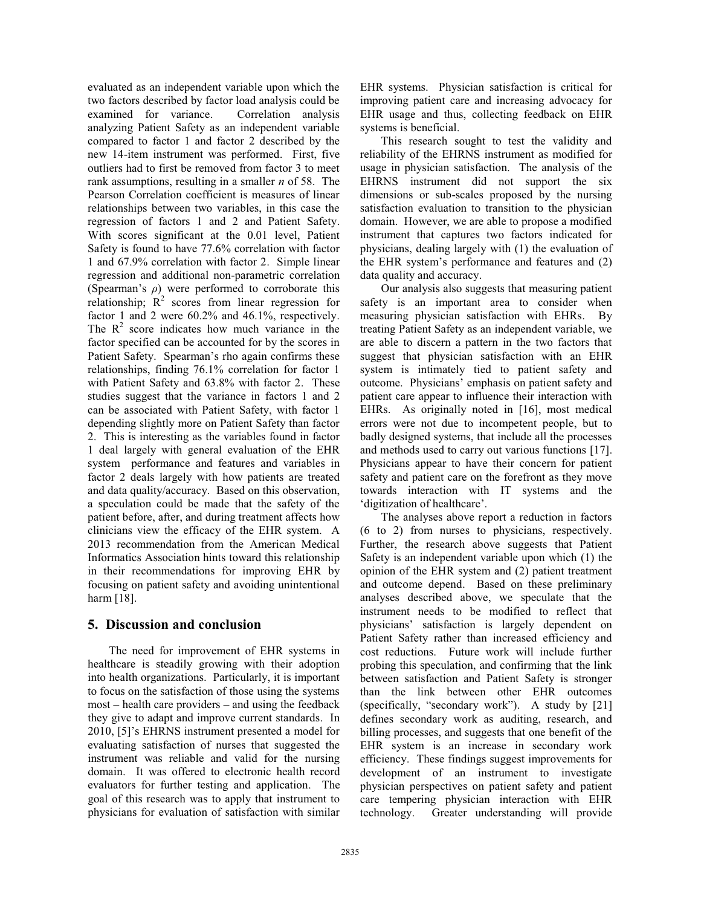evaluated as an independent variable upon which the two factors described by factor load analysis could be examined for variance. Correlation analysis analyzing Patient Safety as an independent variable compared to factor 1 and factor 2 described by the new 14-item instrument was performed. First, five outliers had to first be removed from factor 3 to meet rank assumptions, resulting in a smaller *n* of 58. The Pearson Correlation coefficient is measures of linear relationships between two variables, in this case the regression of factors 1 and 2 and Patient Safety. With scores significant at the 0.01 level, Patient Safety is found to have 77.6% correlation with factor 1 and 67.9% correlation with factor 2. Simple linear regression and additional non-parametric correlation (Spearman's *ρ*) were performed to corroborate this relationship;  $R^2$  scores from linear regression for factor 1 and 2 were 60.2% and 46.1%, respectively. The  $R<sup>2</sup>$  score indicates how much variance in the factor specified can be accounted for by the scores in Patient Safety. Spearman's rho again confirms these relationships, finding 76.1% correlation for factor 1 with Patient Safety and 63.8% with factor 2. These studies suggest that the variance in factors 1 and 2 can be associated with Patient Safety, with factor 1 depending slightly more on Patient Safety than factor 2. This is interesting as the variables found in factor 1 deal largely with general evaluation of the EHR system performance and features and variables in factor 2 deals largely with how patients are treated and data quality/accuracy. Based on this observation, a speculation could be made that the safety of the patient before, after, and during treatment affects how clinicians view the efficacy of the EHR system. A 2013 recommendation from the American Medical Informatics Association hints toward this relationship in their recommendations for improving EHR by focusing on patient safety and avoiding unintentional harm [18].

# **5. Discussion and conclusion**

The need for improvement of EHR systems in healthcare is steadily growing with their adoption into health organizations. Particularly, it is important to focus on the satisfaction of those using the systems most – health care providers – and using the feedback they give to adapt and improve current standards. In 2010, [5]'s EHRNS instrument presented a model for evaluating satisfaction of nurses that suggested the instrument was reliable and valid for the nursing domain. It was offered to electronic health record evaluators for further testing and application. The goal of this research was to apply that instrument to physicians for evaluation of satisfaction with similar EHR systems. Physician satisfaction is critical for improving patient care and increasing advocacy for EHR usage and thus, collecting feedback on EHR systems is beneficial.

This research sought to test the validity and reliability of the EHRNS instrument as modified for usage in physician satisfaction. The analysis of the EHRNS instrument did not support the six dimensions or sub-scales proposed by the nursing satisfaction evaluation to transition to the physician domain. However, we are able to propose a modified instrument that captures two factors indicated for physicians, dealing largely with (1) the evaluation of the EHR system's performance and features and (2) data quality and accuracy.

Our analysis also suggests that measuring patient safety is an important area to consider when measuring physician satisfaction with EHRs. By treating Patient Safety as an independent variable, we are able to discern a pattern in the two factors that suggest that physician satisfaction with an EHR system is intimately tied to patient safety and outcome. Physicians' emphasis on patient safety and patient care appear to influence their interaction with EHRs. As originally noted in [16], most medical errors were not due to incompetent people, but to badly designed systems, that include all the processes and methods used to carry out various functions [17]. Physicians appear to have their concern for patient safety and patient care on the forefront as they move towards interaction with IT systems and the 'digitization of healthcare'.

The analyses above report a reduction in factors (6 to 2) from nurses to physicians, respectively. Further, the research above suggests that Patient Safety is an independent variable upon which (1) the opinion of the EHR system and (2) patient treatment and outcome depend. Based on these preliminary analyses described above, we speculate that the instrument needs to be modified to reflect that physicians' satisfaction is largely dependent on Patient Safety rather than increased efficiency and cost reductions. Future work will include further probing this speculation, and confirming that the link between satisfaction and Patient Safety is stronger than the link between other EHR outcomes (specifically, "secondary work"). A study by [21] defines secondary work as auditing, research, and billing processes, and suggests that one benefit of the EHR system is an increase in secondary work efficiency. These findings suggest improvements for development of an instrument to investigate physician perspectives on patient safety and patient care tempering physician interaction with EHR technology. Greater understanding will provide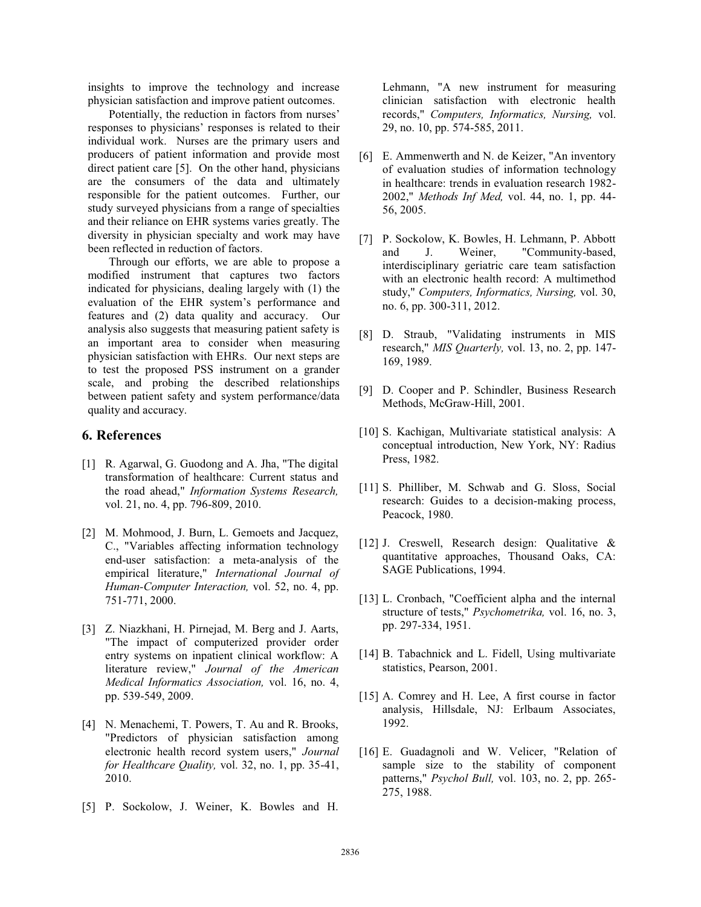insights to improve the technology and increase physician satisfaction and improve patient outcomes.

Potentially, the reduction in factors from nurses' responses to physicians' responses is related to their individual work. Nurses are the primary users and producers of patient information and provide most direct patient care [5]. On the other hand, physicians are the consumers of the data and ultimately responsible for the patient outcomes. Further, our study surveyed physicians from a range of specialties and their reliance on EHR systems varies greatly. The diversity in physician specialty and work may have been reflected in reduction of factors.

Through our efforts, we are able to propose a modified instrument that captures two factors indicated for physicians, dealing largely with (1) the evaluation of the EHR system's performance and features and (2) data quality and accuracy. Our analysis also suggests that measuring patient safety is an important area to consider when measuring physician satisfaction with EHRs. Our next steps are to test the proposed PSS instrument on a grander scale, and probing the described relationships between patient safety and system performance/data quality and accuracy.

#### **6. References**

- [1] R. Agarwal, G. Guodong and A. Jha, "The digital transformation of healthcare: Current status and the road ahead," *Information Systems Research,*  vol. 21, no. 4, pp. 796-809, 2010.
- [2] M. Mohmood, J. Burn, L. Gemoets and Jacquez, C., "Variables affecting information technology end-user satisfaction: a meta-analysis of the empirical literature," *International Journal of Human-Computer Interaction,* vol. 52, no. 4, pp. 751-771, 2000.
- [3] Z. Niazkhani, H. Pirnejad, M. Berg and J. Aarts, "The impact of computerized provider order entry systems on inpatient clinical workflow: A literature review," *Journal of the American Medical Informatics Association,* vol. 16, no. 4, pp. 539-549, 2009.
- [4] N. Menachemi, T. Powers, T. Au and R. Brooks, "Predictors of physician satisfaction among electronic health record system users," *Journal for Healthcare Quality,* vol. 32, no. 1, pp. 35-41, 2010.
- [5] P. Sockolow, J. Weiner, K. Bowles and H.

Lehmann, "A new instrument for measuring clinician satisfaction with electronic health records," *Computers, Informatics, Nursing,* vol. 29, no. 10, pp. 574-585, 2011.

- [6] E. Ammenwerth and N. de Keizer, "An inventory of evaluation studies of information technology in healthcare: trends in evaluation research 1982- 2002," *Methods Inf Med,* vol. 44, no. 1, pp. 44- 56, 2005.
- [7] P. Sockolow, K. Bowles, H. Lehmann, P. Abbott and J. Weiner, "Community-based, interdisciplinary geriatric care team satisfaction with an electronic health record: A multimethod study," *Computers, Informatics, Nursing,* vol. 30, no. 6, pp. 300-311, 2012.
- [8] D. Straub, "Validating instruments in MIS research," *MIS Quarterly,* vol. 13, no. 2, pp. 147- 169, 1989.
- [9] D. Cooper and P. Schindler, Business Research Methods, McGraw-Hill, 2001.
- [10] S. Kachigan, Multivariate statistical analysis: A conceptual introduction, New York, NY: Radius Press, 1982.
- [11] S. Philliber, M. Schwab and G. Sloss, Social research: Guides to a decision-making process, Peacock, 1980.
- [12] J. Creswell, Research design: Qualitative & quantitative approaches, Thousand Oaks, CA: SAGE Publications, 1994.
- [13] L. Cronbach, "Coefficient alpha and the internal structure of tests," *Psychometrika,* vol. 16, no. 3, pp. 297-334, 1951.
- [14] B. Tabachnick and L. Fidell, Using multivariate statistics, Pearson, 2001.
- [15] A. Comrey and H. Lee, A first course in factor analysis, Hillsdale, NJ: Erlbaum Associates, 1992.
- [16] E. Guadagnoli and W. Velicer, "Relation of sample size to the stability of component patterns," *Psychol Bull,* vol. 103, no. 2, pp. 265- 275, 1988.